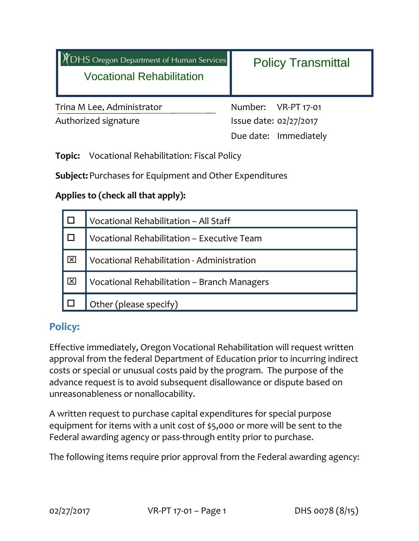| <b>DHS Oregon Department of Human Services</b><br><b>Vocational Rehabilitation</b> | <b>Policy Transmittal</b> |  |  |
|------------------------------------------------------------------------------------|---------------------------|--|--|
| Trina M Lee, Administrator                                                         | Number: VR-PT 17-01       |  |  |
| Authorized signature                                                               | Issue date: 02/27/2017    |  |  |
|                                                                                    | Due date: Immediately     |  |  |
| <b>Vocational Rehabilitation: Fiscal Policy</b><br>Topic:                          |                           |  |  |

**Subject:**Purchases for Equipment and Other Expenditures

### **Applies to (check all that apply):**

|                      | Vocational Rehabilitation - All Staff       |  |
|----------------------|---------------------------------------------|--|
|                      | Vocational Rehabilitation - Executive Team  |  |
| $\overline{ \times}$ | Vocational Rehabilitation - Administration  |  |
| $\overline{ \times}$ | Vocational Rehabilitation - Branch Managers |  |
|                      | Other (please specify)                      |  |

# **Policy:**

Effective immediately, Oregon Vocational Rehabilitation will request written approval from the federal Department of Education prior to incurring indirect costs or special or unusual costs paid by the program. The purpose of the advance request is to avoid subsequent disallowance or dispute based on unreasonableness or nonallocability.

A written request to purchase capital expenditures for special purpose equipment for items with a unit cost of \$5,000 or more will be sent to the Federal awarding agency or pass-through entity prior to purchase.

The following items require prior approval from the Federal awarding agency: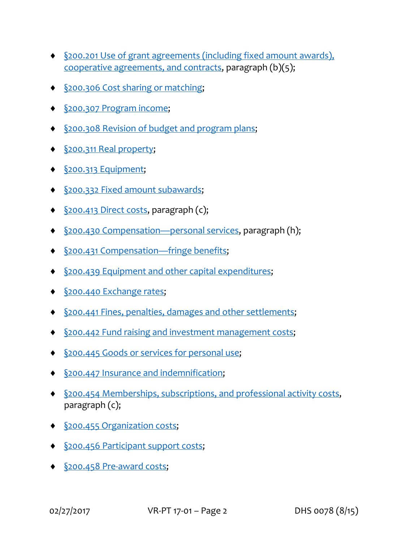- §200.201 Use of grant agreements (including fixed amount awards), cooperative agreements, and contracts, paragraph (b)(5);
- §200.306 Cost sharing or matching;
- ◆ <u>§200.307 Program income</u>;
- ◆ §200.308 Revision of budget and program plans;
- ◆ <u>§200.311 Real property</u>;
- §200.313 Equipment;
- §200.332 Fixed amount subawards;
- §200.413 Direct costs, paragraph (c);
- ◆ §200.430 Compensation—personal services, paragraph (h);
- ◆ <u>§200.431 Compensation—fringe benefits</u>;
- §200.439 Equipment and other capital expenditures;
- §200.440 Exchange rates;
- §200.441 Fines, penalties, damages and other settlements;
- §200.442 Fund raising and investment management costs;
- ◆ <u>§200.445</u> Goods or services for personal use;
- ◆ §200.447 Insurance and indemnification;
- §200.454 Memberships, subscriptions, and professional activity costs, paragraph (c);
- ◆ <u>§200.455 Organization costs</u>;
- ◆ §200.456 Participant support costs;
- ◆ <u>§200.458 Pre-award costs</u>;